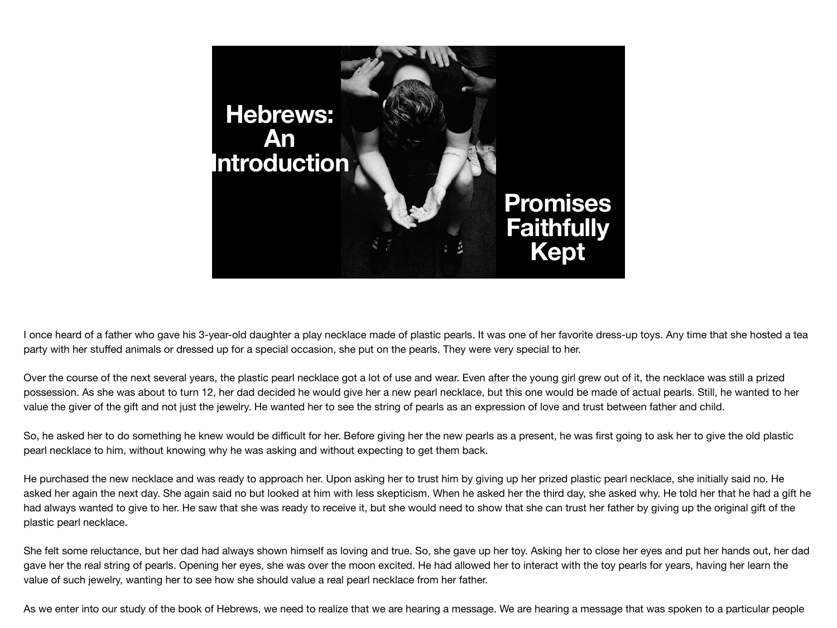

I once heard of a father who gave his 3-year-old daughter a play necklace made of plastic pearls. It was one of her favorite dress-up toys. Any time that she hosted a tea party with her stuffed animals or dressed up for a special occasion, she put on the pearls. They were very special to her.

Over the course of the next several years, the plastic pearl necklace got a lot of use and wear. Even after the young girl grew out of it, the necklace was still a prized possession. As she was about to turn 12, her dad decided he would give her a new pearl necklace, but this one would be made of actual pearls. Still, he wanted to her value the giver of the gift and not just the jewelry. He wanted her to see the string of pearls as an expression of love and trust between father and child.

So, he asked her to do something he knew would be difficult for her. Before giving her the new pearls as a present, he was first going to ask her to give the old plastic pearl necklace to him, without knowing why he was asking and without expecting to get them back.

He purchased the new necklace and was ready to approach her. Upon asking her to trust him by giving up her prized plastic pearl necklace, she initially said no. He asked her again the next day. She again said no but looked at him with less skepticism. When he asked her the third day, she asked why. He told her that he had a gift he had always wanted to give to her. He saw that she was ready to receive it, but she would need to show that she can trust her father by giving up the original gift of the plastic pearl necklace.

She felt some reluctance, but her dad had always shown himself as loving and true. So, she gave up her toy. Asking her to close her eyes and put her hands out, her dad gave her the real string of pearls. Opening her eyes, she was over the moon excited. He had allowed her to interact with the toy pearls for years, having her learn the value of such jewelry, wanting her to see how she should value a real pearl necklace from her father.

As we enter into our study of the book of Hebrews, we need to realize that we are hearing a message. We are hearing a message that was spoken to a particular people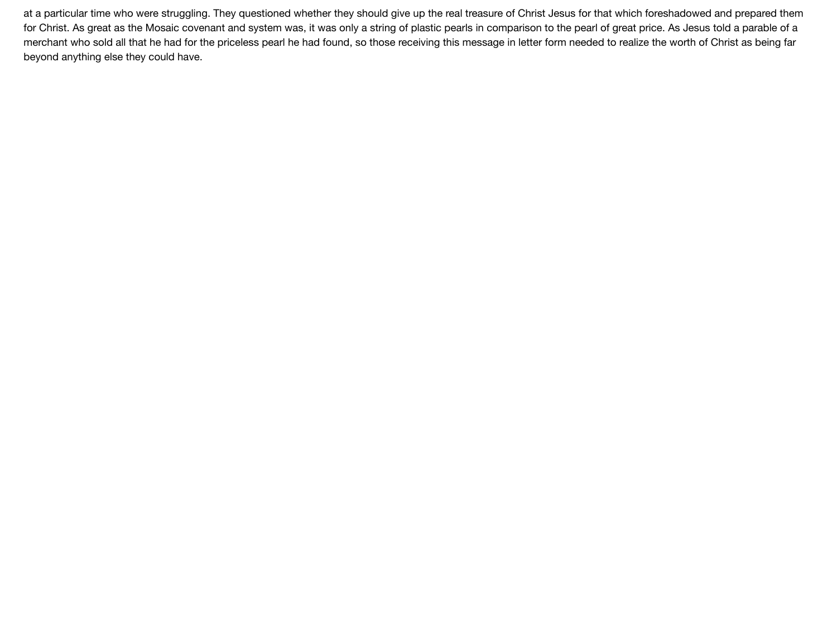at a particular time who were struggling. They questioned whether they should give up the real treasure of Christ Jesus for that which foreshadowed and prepared them for Christ. As great as the Mosaic covenant and system was, it was only a string of plastic pearls in comparison to the pearl of great price. As Jesus told a parable of a merchant who sold all that he had for the priceless pearl he had found, so those receiving this message in letter form needed to realize the worth of Christ as being far beyond anything else they could have.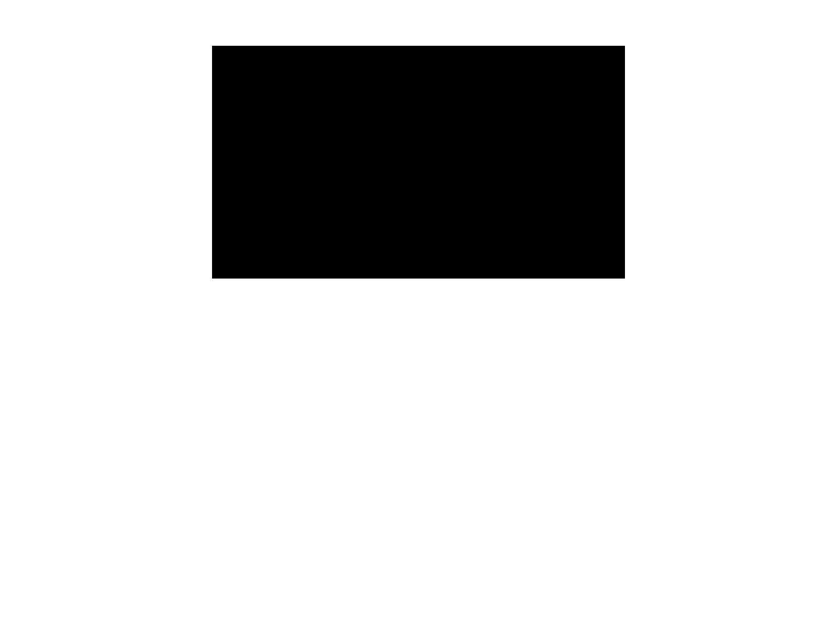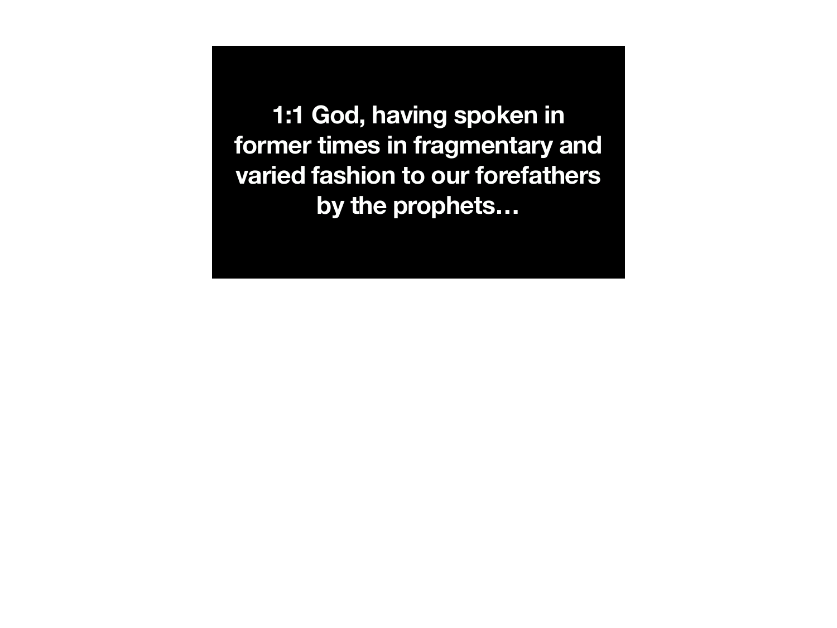1:1 God, having spoken in former times in fragmentary and varied fashion to our forefathers by the prophets...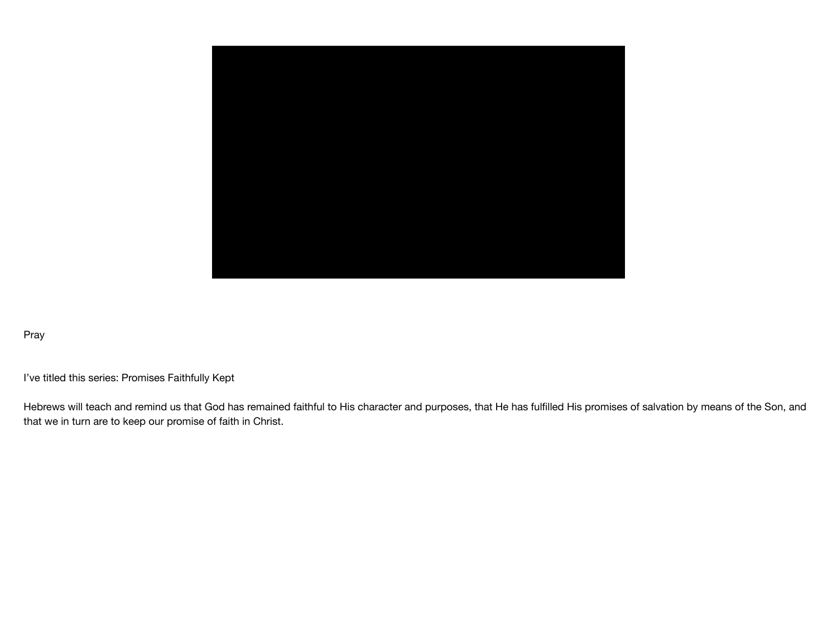

Pray

I've titled this series: Promises Faithfully Kept

Hebrews will teach and remind us that God has remained faithful to His character and purposes, that He has fulfilled His promises of salvation by means of the Son, and that we in turn are to keep our promise of faith in Christ.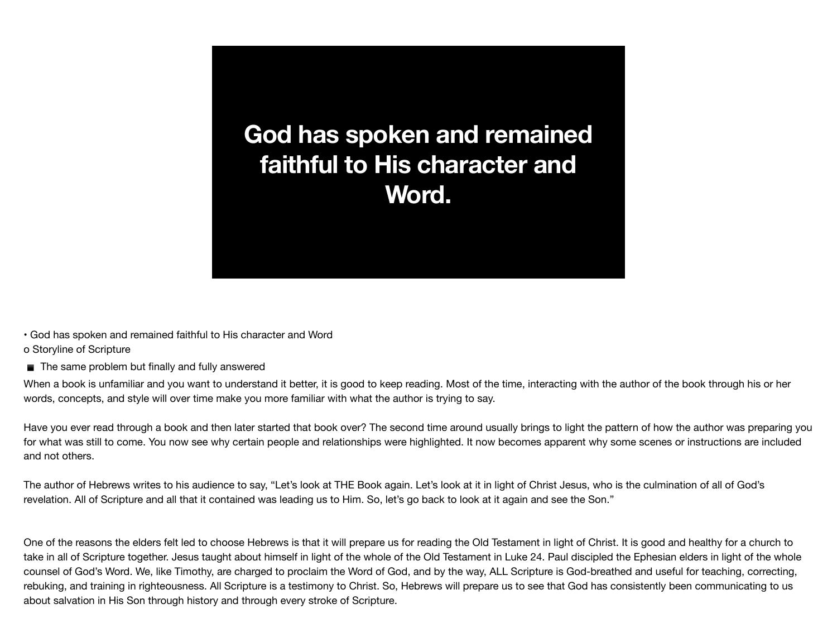**God has spoken and remained faithful to His character and Word.**

• God has spoken and remained faithful to His character and Word

o Storyline of Scripture

 $\blacksquare$  The same problem but finally and fully answered

When a book is unfamiliar and you want to understand it better, it is good to keep reading. Most of the time, interacting with the author of the book through his or her words, concepts, and style will over time make you more familiar with what the author is trying to say.

Have you ever read through a book and then later started that book over? The second time around usually brings to light the pattern of how the author was preparing you for what was still to come. You now see why certain people and relationships were highlighted. It now becomes apparent why some scenes or instructions are included and not others.

The author of Hebrews writes to his audience to say, "Let's look at THE Book again. Let's look at it in light of Christ Jesus, who is the culmination of all of God's revelation. All of Scripture and all that it contained was leading us to Him. So, let's go back to look at it again and see the Son."

One of the reasons the elders felt led to choose Hebrews is that it will prepare us for reading the Old Testament in light of Christ. It is good and healthy for a church to take in all of Scripture together. Jesus taught about himself in light of the whole of the Old Testament in Luke 24. Paul discipled the Ephesian elders in light of the whole counsel of God's Word. We, like Timothy, are charged to proclaim the Word of God, and by the way, ALL Scripture is God-breathed and useful for teaching, correcting, rebuking, and training in righteousness. All Scripture is a testimony to Christ. So, Hebrews will prepare us to see that God has consistently been communicating to us about salvation in His Son through history and through every stroke of Scripture.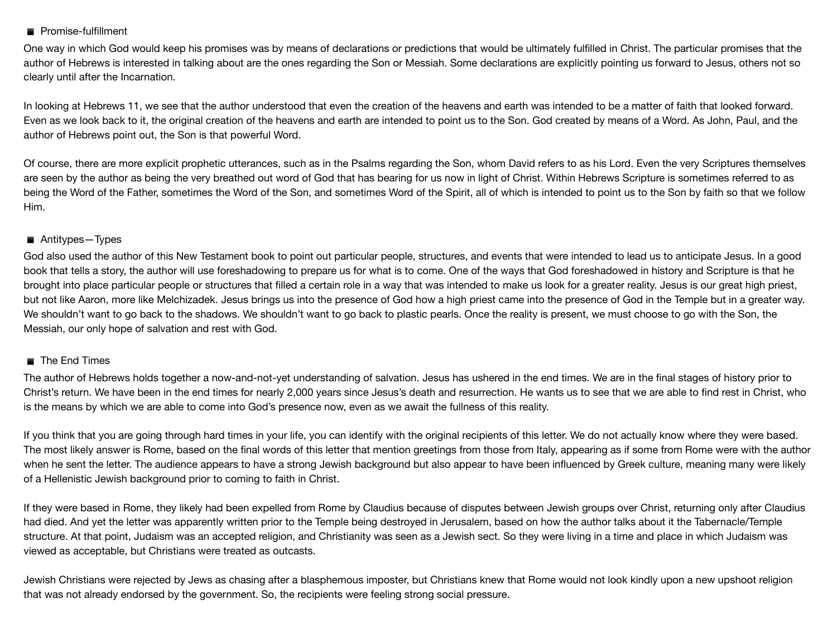## **Promise-fulfillment**

One way in which God would keep his promises was by means of declarations or predictions that would be ultimately fulfilled in Christ. The particular promises that the author of Hebrews is interested in talking about are the ones regarding the Son or Messiah. Some declarations are explicitly pointing us forward to Jesus, others not so clearly until after the Incarnation.

In looking at Hebrews 11, we see that the author understood that even the creation of the heavens and earth was intended to be a matter of faith that looked forward. Even as we look back to it, the original creation of the heavens and earth are intended to point us to the Son. God created by means of a Word. As John, Paul, and the author of Hebrews point out, the Son is that powerful Word.

Of course, there are more explicit prophetic utterances, such as in the Psalms regarding the Son, whom David refers to as his Lord. Even the very Scriptures themselves are seen by the author as being the very breathed out word of God that has bearing for us now in light of Christ. Within Hebrews Scripture is sometimes referred to as being the Word of the Father, sometimes the Word of the Son, and sometimes Word of the Spirit, all of which is intended to point us to the Son by faith so that we follow Him.

## $\blacksquare$  Antitypes—Types

God also used the author of this New Testament book to point out particular people, structures, and events that were intended to lead us to anticipate Jesus. In a good book that tells a story, the author will use foreshadowing to prepare us for what is to come. One of the ways that God foreshadowed in history and Scripture is that he brought into place particular people or structures that filled a certain role in a way that was intended to make us look for a greater reality. Jesus is our great high priest, but not like Aaron, more like Melchizadek. Jesus brings us into the presence of God how a high priest came into the presence of God in the Temple but in a greater way. We shouldn't want to go back to the shadows. We shouldn't want to go back to plastic pearls. Once the reality is present, we must choose to go with the Son, the Messiah, our only hope of salvation and rest with God.

# $\blacksquare$  The End Times

The author of Hebrews holds together a now-and-not-yet understanding of salvation. Jesus has ushered in the end times. We are in the final stages of history prior to Christ's return. We have been in the end times for nearly 2,000 years since Jesus's death and resurrection. He wants us to see that we are able to find rest in Christ, who is the means by which we are able to come into God's presence now, even as we await the fullness of this reality.

If you think that you are going through hard times in your life, you can identify with the original recipients of this letter. We do not actually know where they were based. The most likely answer is Rome, based on the final words of this letter that mention greetings from those from Italy, appearing as if some from Rome were with the author when he sent the letter. The audience appears to have a strong Jewish background but also appear to have been influenced by Greek culture, meaning many were likely of a Hellenistic Jewish background prior to coming to faith in Christ.

If they were based in Rome, they likely had been expelled from Rome by Claudius because of disputes between Jewish groups over Christ, returning only after Claudius had died. And yet the letter was apparently written prior to the Temple being destroyed in Jerusalem, based on how the author talks about it the Tabernacle/Temple structure. At that point, Judaism was an accepted religion, and Christianity was seen as a Jewish sect. So they were living in a time and place in which Judaism was viewed as acceptable, but Christians were treated as outcasts.

Jewish Christians were rejected by Jews as chasing after a blasphemous imposter, but Christians knew that Rome would not look kindly upon a new upshoot religion that was not already endorsed by the government. So, the recipients were feeling strong social pressure.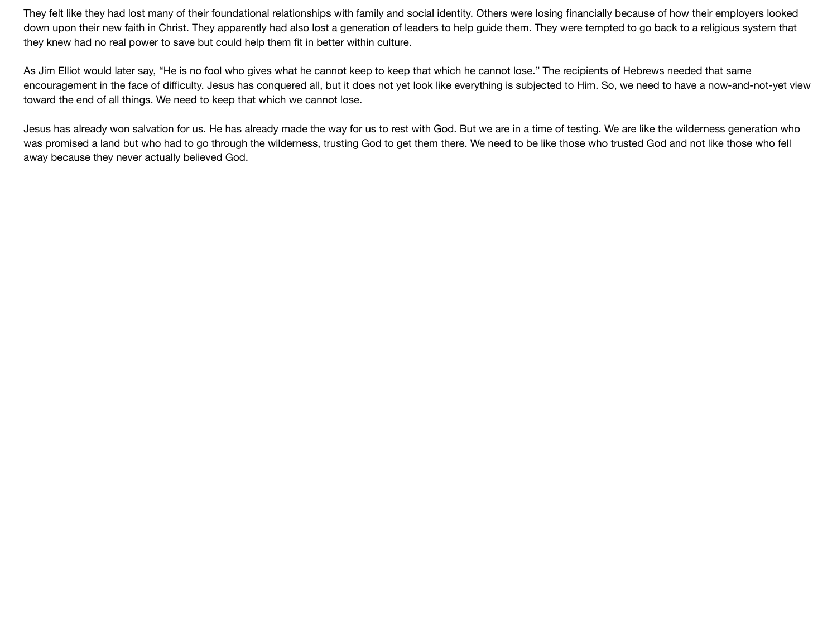They felt like they had lost many of their foundational relationships with family and social identity. Others were losing financially because of how their employers looked down upon their new faith in Christ. They apparently had also lost a generation of leaders to help guide them. They were tempted to go back to a religious system that they knew had no real power to save but could help them fit in better within culture.

As Jim Elliot would later say, "He is no fool who gives what he cannot keep to keep that which he cannot lose." The recipients of Hebrews needed that same encouragement in the face of difficulty. Jesus has conquered all, but it does not yet look like everything is subjected to Him. So, we need to have a now-and-not-yet view toward the end of all things. We need to keep that which we cannot lose.

Jesus has already won salvation for us. He has already made the way for us to rest with God. But we are in a time of testing. We are like the wilderness generation who was promised a land but who had to go through the wilderness, trusting God to get them there. We need to be like those who trusted God and not like those who fell away because they never actually believed God.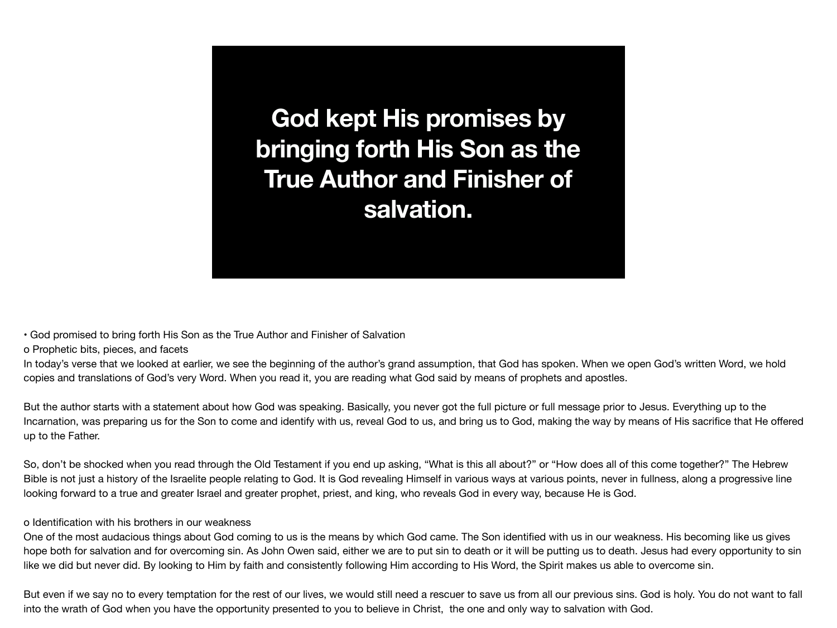**God kept His promises by bringing forth His Son as the True Author and Finisher of salvation.**

• God promised to bring forth His Son as the True Author and Finisher of Salvation

o Prophetic bits, pieces, and facets

In today's verse that we looked at earlier, we see the beginning of the author's grand assumption, that God has spoken. When we open God's written Word, we hold copies and translations of God's very Word. When you read it, you are reading what God said by means of prophets and apostles.

But the author starts with a statement about how God was speaking. Basically, you never got the full picture or full message prior to Jesus. Everything up to the Incarnation, was preparing us for the Son to come and identify with us, reveal God to us, and bring us to God, making the way by means of His sacrifice that He offered up to the Father.

So, don't be shocked when you read through the Old Testament if you end up asking, "What is this all about?" or "How does all of this come together?" The Hebrew Bible is not just a history of the Israelite people relating to God. It is God revealing Himself in various ways at various points, never in fullness, along a progressive line looking forward to a true and greater Israel and greater prophet, priest, and king, who reveals God in every way, because He is God.

## o Identification with his brothers in our weakness

One of the most audacious things about God coming to us is the means by which God came. The Son identified with us in our weakness. His becoming like us gives hope both for salvation and for overcoming sin. As John Owen said, either we are to put sin to death or it will be putting us to death. Jesus had every opportunity to sin like we did but never did. By looking to Him by faith and consistently following Him according to His Word, the Spirit makes us able to overcome sin.

But even if we say no to every temptation for the rest of our lives, we would still need a rescuer to save us from all our previous sins. God is holy. You do not want to fall into the wrath of God when you have the opportunity presented to you to believe in Christ, the one and only way to salvation with God.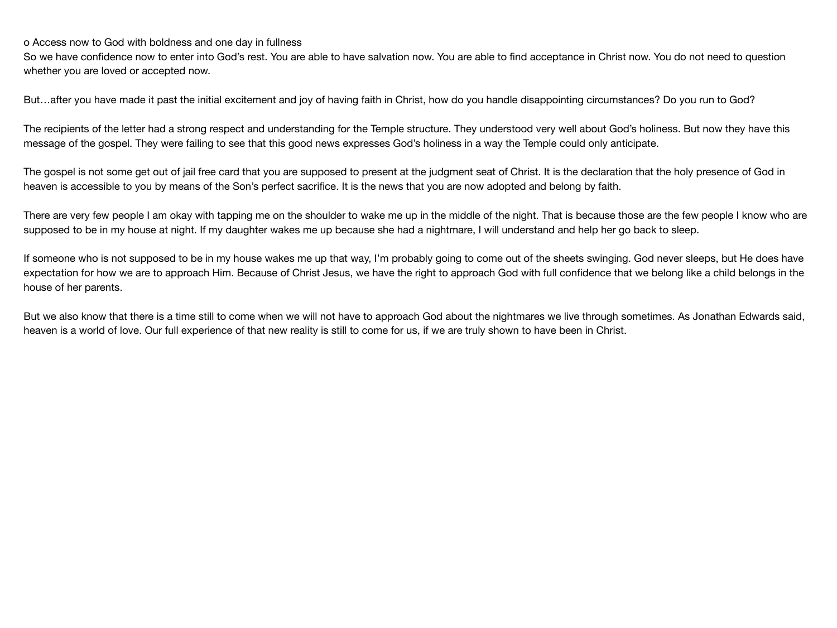## o Access now to God with boldness and one day in fullness

So we have confidence now to enter into God's rest. You are able to have salvation now. You are able to find acceptance in Christ now. You do not need to question whether you are loved or accepted now.

But…after you have made it past the initial excitement and joy of having faith in Christ, how do you handle disappointing circumstances? Do you run to God?

The recipients of the letter had a strong respect and understanding for the Temple structure. They understood very well about God's holiness. But now they have this message of the gospel. They were failing to see that this good news expresses God's holiness in a way the Temple could only anticipate.

The gospel is not some get out of jail free card that you are supposed to present at the judgment seat of Christ. It is the declaration that the holy presence of God in heaven is accessible to you by means of the Son's perfect sacrifice. It is the news that you are now adopted and belong by faith.

There are very few people I am okay with tapping me on the shoulder to wake me up in the middle of the night. That is because those are the few people I know who are supposed to be in my house at night. If my daughter wakes me up because she had a nightmare, I will understand and help her go back to sleep.

If someone who is not supposed to be in my house wakes me up that way, I'm probably going to come out of the sheets swinging. God never sleeps, but He does have expectation for how we are to approach Him. Because of Christ Jesus, we have the right to approach God with full confidence that we belong like a child belongs in the house of her parents.

But we also know that there is a time still to come when we will not have to approach God about the nightmares we live through sometimes. As Jonathan Edwards said, heaven is a world of love. Our full experience of that new reality is still to come for us, if we are truly shown to have been in Christ.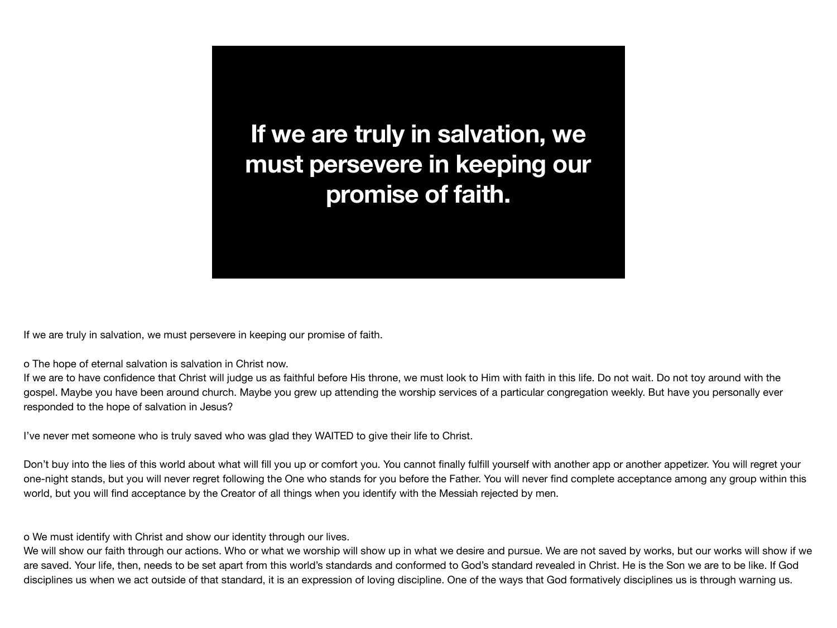**If we are truly in salvation, we must persevere in keeping our promise of faith.**

If we are truly in salvation, we must persevere in keeping our promise of faith.

o The hope of eternal salvation is salvation in Christ now.

If we are to have confidence that Christ will judge us as faithful before His throne, we must look to Him with faith in this life. Do not wait. Do not toy around with the gospel. Maybe you have been around church. Maybe you grew up attending the worship services of a particular congregation weekly. But have you personally ever responded to the hope of salvation in Jesus?

I've never met someone who is truly saved who was glad they WAITED to give their life to Christ.

Don't buy into the lies of this world about what will fill you up or comfort you. You cannot finally fulfill yourself with another app or another appetizer. You will regret your one-night stands, but you will never regret following the One who stands for you before the Father. You will never find complete acceptance among any group within this world, but you will find acceptance by the Creator of all things when you identify with the Messiah rejected by men.

o We must identify with Christ and show our identity through our lives.

We will show our faith through our actions. Who or what we worship will show up in what we desire and pursue. We are not saved by works, but our works will show if we are saved. Your life, then, needs to be set apart from this world's standards and conformed to God's standard revealed in Christ. He is the Son we are to be like. If God disciplines us when we act outside of that standard, it is an expression of loving discipline. One of the ways that God formatively disciplines us is through warning us.